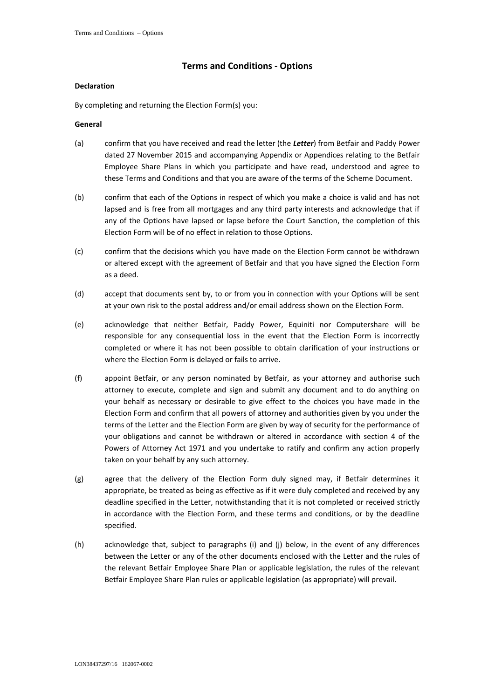# **Terms and Conditions - Options**

### **Declaration**

By completing and returning the Election Form(s) you:

### **General**

- (a) confirm that you have received and read the letter (the *Letter*) from Betfair and Paddy Power dated 27 November 2015 and accompanying Appendix or Appendices relating to the Betfair Employee Share Plans in which you participate and have read, understood and agree to these Terms and Conditions and that you are aware of the terms of the Scheme Document.
- (b) confirm that each of the Options in respect of which you make a choice is valid and has not lapsed and is free from all mortgages and any third party interests and acknowledge that if any of the Options have lapsed or lapse before the Court Sanction, the completion of this Election Form will be of no effect in relation to those Options.
- (c) confirm that the decisions which you have made on the Election Form cannot be withdrawn or altered except with the agreement of Betfair and that you have signed the Election Form as a deed.
- (d) accept that documents sent by, to or from you in connection with your Options will be sent at your own risk to the postal address and/or email address shown on the Election Form.
- (e) acknowledge that neither Betfair, Paddy Power, Equiniti nor Computershare will be responsible for any consequential loss in the event that the Election Form is incorrectly completed or where it has not been possible to obtain clarification of your instructions or where the Election Form is delayed or fails to arrive.
- (f) appoint Betfair, or any person nominated by Betfair, as your attorney and authorise such attorney to execute, complete and sign and submit any document and to do anything on your behalf as necessary or desirable to give effect to the choices you have made in the Election Form and confirm that all powers of attorney and authorities given by you under the terms of the Letter and the Election Form are given by way of security for the performance of your obligations and cannot be withdrawn or altered in accordance with section 4 of the Powers of Attorney Act 1971 and you undertake to ratify and confirm any action properly taken on your behalf by any such attorney.
- (g) agree that the delivery of the Election Form duly signed may, if Betfair determines it appropriate, be treated as being as effective as if it were duly completed and received by any deadline specified in the Letter, notwithstanding that it is not completed or received strictly in accordance with the Election Form, and these terms and conditions, or by the deadline specified.
- (h) acknowledge that, subject to paragraphs [\(i\)](#page-1-0) and [\(j\)](#page-1-1) below, in the event of any differences between the Letter or any of the other documents enclosed with the Letter and the rules of the relevant Betfair Employee Share Plan or applicable legislation, the rules of the relevant Betfair Employee Share Plan rules or applicable legislation (as appropriate) will prevail.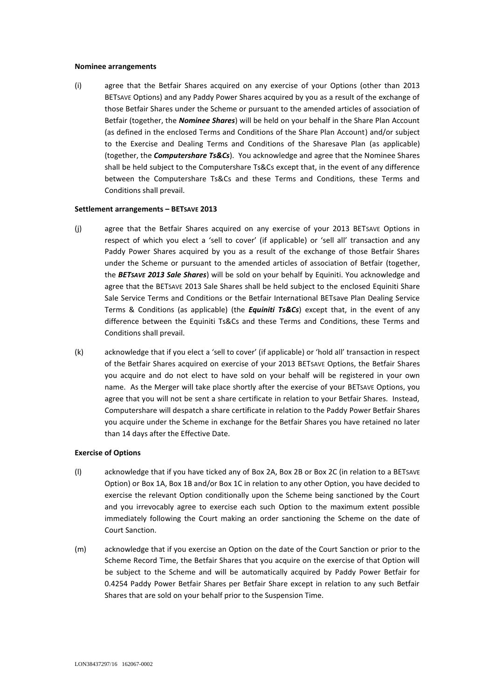#### **Nominee arrangements**

<span id="page-1-0"></span>(i) agree that the Betfair Shares acquired on any exercise of your Options (other than 2013 BETSAVE Options) and any Paddy Power Shares acquired by you as a result of the exchange of those Betfair Shares under the Scheme or pursuant to the amended articles of association of Betfair (together, the *Nominee Shares*) will be held on your behalf in the Share Plan Account (as defined in the enclosed Terms and Conditions of the Share Plan Account) and/or subject to the Exercise and Dealing Terms and Conditions of the Sharesave Plan (as applicable) (together, the *Computershare Ts&Cs*). You acknowledge and agree that the Nominee Shares shall be held subject to the Computershare Ts&Cs except that, in the event of any difference between the Computershare Ts&Cs and these Terms and Conditions, these Terms and Conditions shall prevail.

#### **Settlement arrangements – BETSAVE 2013**

- <span id="page-1-1"></span>(j) agree that the Betfair Shares acquired on any exercise of your 2013 BETSAVE Options in respect of which you elect a 'sell to cover' (if applicable) or 'sell all' transaction and any Paddy Power Shares acquired by you as a result of the exchange of those Betfair Shares under the Scheme or pursuant to the amended articles of association of Betfair (together, the *BETSAVE 2013 Sale Shares*) will be sold on your behalf by Equiniti. You acknowledge and agree that the BETSAVE 2013 Sale Shares shall be held subject to the enclosed Equiniti Share Sale Service Terms and Conditions or the Betfair International BETsave Plan Dealing Service Terms & Conditions (as applicable) (the *Equiniti Ts&Cs*) except that, in the event of any difference between the Equiniti Ts&Cs and these Terms and Conditions, these Terms and Conditions shall prevail.
- (k) acknowledge that if you elect a 'sell to cover' (if applicable) or 'hold all' transaction in respect of the Betfair Shares acquired on exercise of your 2013 BETSAVE Options, the Betfair Shares you acquire and do not elect to have sold on your behalf will be registered in your own name. As the Merger will take place shortly after the exercise of your BETSAVE Options, you agree that you will not be sent a share certificate in relation to your Betfair Shares. Instead, Computershare will despatch a share certificate in relation to the Paddy Power Betfair Shares you acquire under the Scheme in exchange for the Betfair Shares you have retained no later than 14 days after the Effective Date.

# **Exercise of Options**

- (l) acknowledge that if you have ticked any of Box 2A, Box 2B or Box 2C (in relation to a BETSAVE Option) or Box 1A, Box 1B and/or Box 1C in relation to any other Option, you have decided to exercise the relevant Option conditionally upon the Scheme being sanctioned by the Court and you irrevocably agree to exercise each such Option to the maximum extent possible immediately following the Court making an order sanctioning the Scheme on the date of Court Sanction.
- (m) acknowledge that if you exercise an Option on the date of the Court Sanction or prior to the Scheme Record Time, the Betfair Shares that you acquire on the exercise of that Option will be subject to the Scheme and will be automatically acquired by Paddy Power Betfair for 0.4254 Paddy Power Betfair Shares per Betfair Share except in relation to any such Betfair Shares that are sold on your behalf prior to the Suspension Time.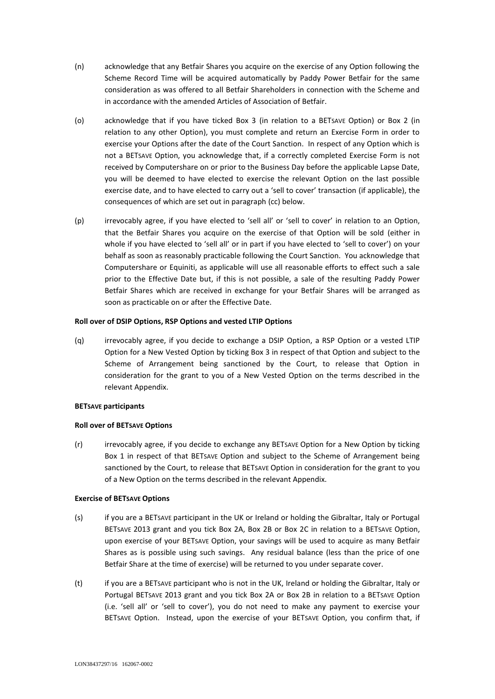- (n) acknowledge that any Betfair Shares you acquire on the exercise of any Option following the Scheme Record Time will be acquired automatically by Paddy Power Betfair for the same consideration as was offered to all Betfair Shareholders in connection with the Scheme and in accordance with the amended Articles of Association of Betfair.
- (o) acknowledge that if you have ticked Box 3 (in relation to a BETSAVE Option) or Box 2 (in relation to any other Option), you must complete and return an Exercise Form in order to exercise your Options after the date of the Court Sanction. In respect of any Option which is not a BETSAVE Option, you acknowledge that, if a correctly completed Exercise Form is not received by Computershare on or prior to the Business Day before the applicable Lapse Date, you will be deemed to have elected to exercise the relevant Option on the last possible exercise date, and to have elected to carry out a 'sell to cover' transaction (if applicable), the consequences of which are set out in paragraph [\(cc\)](#page-4-0) below.
- (p) irrevocably agree, if you have elected to 'sell all' or 'sell to cover' in relation to an Option, that the Betfair Shares you acquire on the exercise of that Option will be sold (either in whole if you have elected to 'sell all' or in part if you have elected to 'sell to cover') on your behalf as soon as reasonably practicable following the Court Sanction. You acknowledge that Computershare or Equiniti, as applicable will use all reasonable efforts to effect such a sale prior to the Effective Date but, if this is not possible, a sale of the resulting Paddy Power Betfair Shares which are received in exchange for your Betfair Shares will be arranged as soon as practicable on or after the Effective Date.

### **Roll over of DSIP Options, RSP Options and vested LTIP Options**

(q) irrevocably agree, if you decide to exchange a DSIP Option, a RSP Option or a vested LTIP Option for a New Vested Option by ticking Box 3 in respect of that Option and subject to the Scheme of Arrangement being sanctioned by the Court, to release that Option in consideration for the grant to you of a New Vested Option on the terms described in the relevant Appendix.

# **BETSAVE participants**

# **Roll over of BETSAVE Options**

(r) irrevocably agree, if you decide to exchange any BETSAVE Option for a New Option by ticking Box 1 in respect of that BETSAVE Option and subject to the Scheme of Arrangement being sanctioned by the Court, to release that BETSAVE Option in consideration for the grant to you of a New Option on the terms described in the relevant Appendix.

# **Exercise of BETSAVE Options**

- (s) if you are a BETSAVE participant in the UK or Ireland or holding the Gibraltar, Italy or Portugal BETSAVE 2013 grant and you tick Box 2A, Box 2B or Box 2C in relation to a BETSAVE Option, upon exercise of your BETSAVE Option, your savings will be used to acquire as many Betfair Shares as is possible using such savings. Any residual balance (less than the price of one Betfair Share at the time of exercise) will be returned to you under separate cover.
- <span id="page-2-0"></span>(t) if you are a BETSAVE participant who is not in the UK, Ireland or holding the Gibraltar, Italy or Portugal BETSAVE 2013 grant and you tick Box 2A or Box 2B in relation to a BETSAVE Option (i.e. 'sell all' or 'sell to cover'), you do not need to make any payment to exercise your BETSAVE Option. Instead, upon the exercise of your BETSAVE Option, you confirm that, if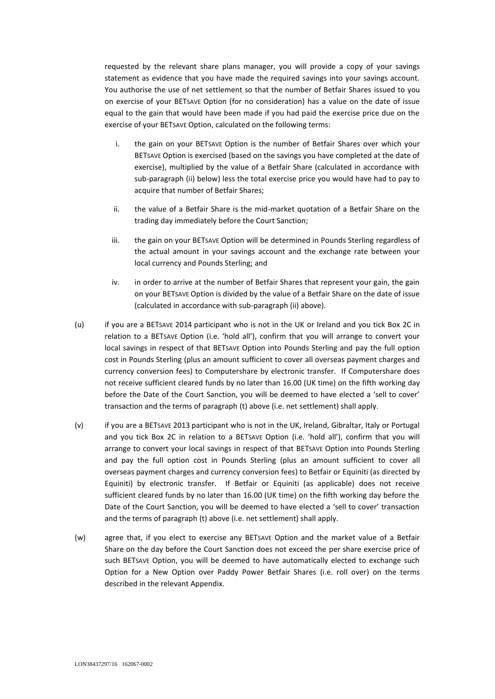requested by the relevant share plans manager, you will provide a copy of your savings statement as evidence that you have made the required savings into your savings account. You authorise the use of net settlement so that the number of Betfair Shares issued to you on exercise of your BETSAVE Option (for no consideration) has a value on the date of issue equal to the gain that would have been made if you had paid the exercise price due on the exercise of your BETSAVE Option, calculated on the following terms:

- i. the gain on your BETSAVE Option is the number of Betfair Shares over which your BETSAVE Option is exercised (based on the savings you have completed at the date of exercise), multiplied by the value of a Betfair Share (calculated in accordance with sub-paragraph (ii) below) less the total exercise price you would have had to pay to acquire that number of Betfair Shares;
- ii. the value of a Betfair Share is the mid-market quotation of a Betfair Share on the trading day immediately before the Court Sanction;
- iii. the gain on your BETSAVE Option will be determined in Pounds Sterling regardless of the actual amount in your savings account and the exchange rate between your local currency and Pounds Sterling; and
- iv. in order to arrive at the number of Betfair Shares that represent your gain, the gain on your BETSAVE Option is divided by the value of a Betfair Share on the date of issue (calculated in accordance with sub-paragraph (ii) above).
- (u) if you are a BETSAVE 2014 participant who is not in the UK or Ireland and you tick Box 2C in relation to a BETSAVE Option (i.e. 'hold all'), confirm that you will arrange to convert your local savings in respect of that BETSAVE Option into Pounds Sterling and pay the full option cost in Pounds Sterling (plus an amount sufficient to cover all overseas payment charges and currency conversion fees) to Computershare by electronic transfer. If Computershare does not receive sufficient cleared funds by no later than 16.00 (UK time) on the fifth working day before the Date of the Court Sanction, you will be deemed to have elected a 'sell to cover' transaction and the terms of paragraph [\(t\)](#page-2-0) above (i.e. net settlement) shall apply.
- (v) if you are a BETSAVE 2013 participant who is not in the UK, Ireland, Gibraltar, Italy or Portugal and you tick Box 2C in relation to a BETSAVE Option (i.e. 'hold all'), confirm that you will arrange to convert your local savings in respect of that BETSAVE Option into Pounds Sterling and pay the full option cost in Pounds Sterling (plus an amount sufficient to cover all overseas payment charges and currency conversion fees) to Betfair or Equiniti (as directed by Equiniti) by electronic transfer. If Betfair or Equiniti (as applicable) does not receive sufficient cleared funds by no later than 16.00 (UK time) on the fifth working day before the Date of the Court Sanction, you will be deemed to have elected a 'sell to cover' transaction and the terms of paragraph [\(t\)](#page-2-0) above (i.e. net settlement) shall apply.
- (w) agree that, if you elect to exercise any BETSAVE Option and the market value of a Betfair Share on the day before the Court Sanction does not exceed the per share exercise price of such BETSAVE Option, you will be deemed to have automatically elected to exchange such Option for a New Option over Paddy Power Betfair Shares (i.e. roll over) on the terms described in the relevant Appendix.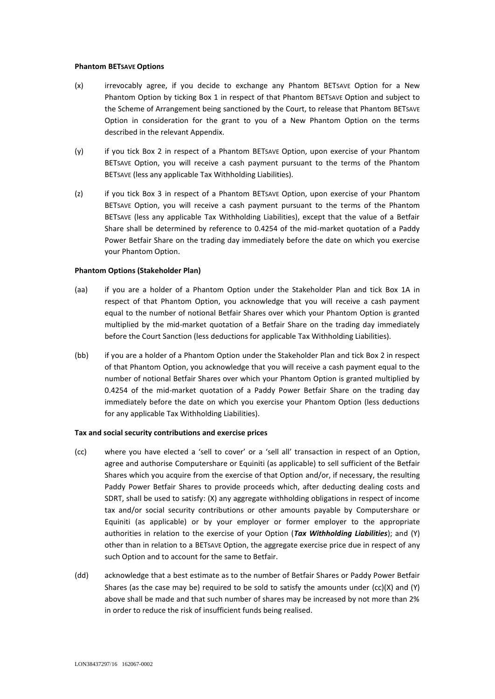#### **Phantom BETSAVE Options**

- (x) irrevocably agree, if you decide to exchange any Phantom BETSAVE Option for a New Phantom Option by ticking Box 1 in respect of that Phantom BETSAVE Option and subject to the Scheme of Arrangement being sanctioned by the Court, to release that Phantom BETSAVE Option in consideration for the grant to you of a New Phantom Option on the terms described in the relevant Appendix.
- (y) if you tick Box 2 in respect of a Phantom BETSAVE Option, upon exercise of your Phantom BETSAVE Option, you will receive a cash payment pursuant to the terms of the Phantom BETSAVE (less any applicable Tax Withholding Liabilities).
- (z) if you tick Box 3 in respect of a Phantom BETSAVE Option, upon exercise of your Phantom BETSAVE Option, you will receive a cash payment pursuant to the terms of the Phantom BETSAVE (less any applicable Tax Withholding Liabilities), except that the value of a Betfair Share shall be determined by reference to 0.4254 of the mid-market quotation of a Paddy Power Betfair Share on the trading day immediately before the date on which you exercise your Phantom Option.

#### **Phantom Options (Stakeholder Plan)**

- (aa) if you are a holder of a Phantom Option under the Stakeholder Plan and tick Box 1A in respect of that Phantom Option, you acknowledge that you will receive a cash payment equal to the number of notional Betfair Shares over which your Phantom Option is granted multiplied by the mid-market quotation of a Betfair Share on the trading day immediately before the Court Sanction (less deductions for applicable Tax Withholding Liabilities).
- (bb) if you are a holder of a Phantom Option under the Stakeholder Plan and tick Box 2 in respect of that Phantom Option, you acknowledge that you will receive a cash payment equal to the number of notional Betfair Shares over which your Phantom Option is granted multiplied by 0.4254 of the mid-market quotation of a Paddy Power Betfair Share on the trading day immediately before the date on which you exercise your Phantom Option (less deductions for any applicable Tax Withholding Liabilities).

#### **Tax and social security contributions and exercise prices**

- <span id="page-4-0"></span>(cc) where you have elected a 'sell to cover' or a 'sell all' transaction in respect of an Option, agree and authorise Computershare or Equiniti (as applicable) to sell sufficient of the Betfair Shares which you acquire from the exercise of that Option and/or, if necessary, the resulting Paddy Power Betfair Shares to provide proceeds which, after deducting dealing costs and SDRT, shall be used to satisfy: (X) any aggregate withholding obligations in respect of income tax and/or social security contributions or other amounts payable by Computershare or Equiniti (as applicable) or by your employer or former employer to the appropriate authorities in relation to the exercise of your Option (*Tax Withholding Liabilities*); and (Y) other than in relation to a BETSAVE Option, the aggregate exercise price due in respect of any such Option and to account for the same to Betfair.
- <span id="page-4-1"></span>(dd) acknowledge that a best estimate as to the number of Betfair Shares or Paddy Power Betfair Shares (as the case may be) required to be sold to satisfy the amounts under  $(cc)(X)$  and  $(Y)$ above shall be made and that such number of shares may be increased by not more than 2% in order to reduce the risk of insufficient funds being realised.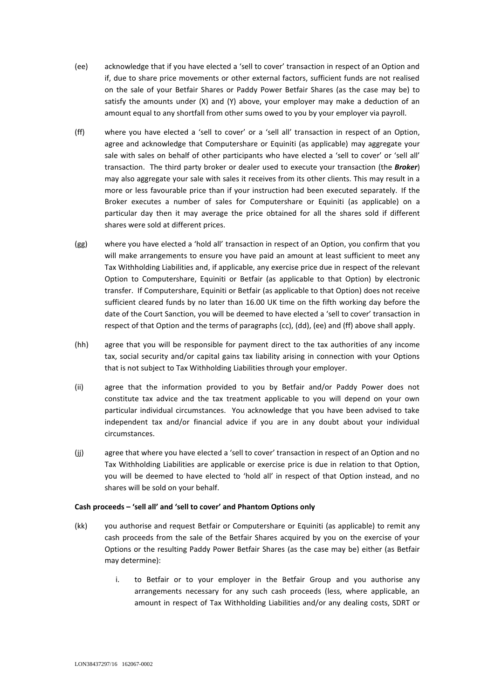- <span id="page-5-0"></span>(ee) acknowledge that if you have elected a 'sell to cover' transaction in respect of an Option and if, due to share price movements or other external factors, sufficient funds are not realised on the sale of your Betfair Shares or Paddy Power Betfair Shares (as the case may be) to satisfy the amounts under (X) and (Y) above, your employer may make a deduction of an amount equal to any shortfall from other sums owed to you by your employer via payroll.
- <span id="page-5-1"></span>(ff) where you have elected a 'sell to cover' or a 'sell all' transaction in respect of an Option, agree and acknowledge that Computershare or Equiniti (as applicable) may aggregate your sale with sales on behalf of other participants who have elected a 'sell to cover' or 'sell all' transaction. The third party broker or dealer used to execute your transaction (the *Broker*) may also aggregate your sale with sales it receives from its other clients. This may result in a more or less favourable price than if your instruction had been executed separately. If the Broker executes a number of sales for Computershare or Equiniti (as applicable) on a particular day then it may average the price obtained for all the shares sold if different shares were sold at different prices.
- (gg) where you have elected a 'hold all' transaction in respect of an Option, you confirm that you will make arrangements to ensure you have paid an amount at least sufficient to meet any Tax Withholding Liabilities and, if applicable, any exercise price due in respect of the relevant Option to Computershare, Equiniti or Betfair (as applicable to that Option) by electronic transfer. If Computershare, Equiniti or Betfair (as applicable to that Option) does not receive sufficient cleared funds by no later than 16.00 UK time on the fifth working day before the date of the Court Sanction, you will be deemed to have elected a 'sell to cover' transaction in respect of that Option and the terms of paragraphs [\(cc\),](#page-4-0) [\(dd\),](#page-4-1) [\(ee\)](#page-5-0) an[d \(ff\)](#page-5-1) above shall apply.
- (hh) agree that you will be responsible for payment direct to the tax authorities of any income tax, social security and/or capital gains tax liability arising in connection with your Options that is not subject to Tax Withholding Liabilities through your employer.
- (ii) agree that the information provided to you by Betfair and/or Paddy Power does not constitute tax advice and the tax treatment applicable to you will depend on your own particular individual circumstances. You acknowledge that you have been advised to take independent tax and/or financial advice if you are in any doubt about your individual circumstances.
- (jj) agree that where you have elected a 'sell to cover' transaction in respect of an Option and no Tax Withholding Liabilities are applicable or exercise price is due in relation to that Option, you will be deemed to have elected to 'hold all' in respect of that Option instead, and no shares will be sold on your behalf.

# **Cash proceeds – 'sell all' and 'sell to cover' and Phantom Options only**

- (kk) you authorise and request Betfair or Computershare or Equiniti (as applicable) to remit any cash proceeds from the sale of the Betfair Shares acquired by you on the exercise of your Options or the resulting Paddy Power Betfair Shares (as the case may be) either (as Betfair may determine):
	- i. to Betfair or to your employer in the Betfair Group and you authorise any arrangements necessary for any such cash proceeds (less, where applicable, an amount in respect of Tax Withholding Liabilities and/or any dealing costs, SDRT or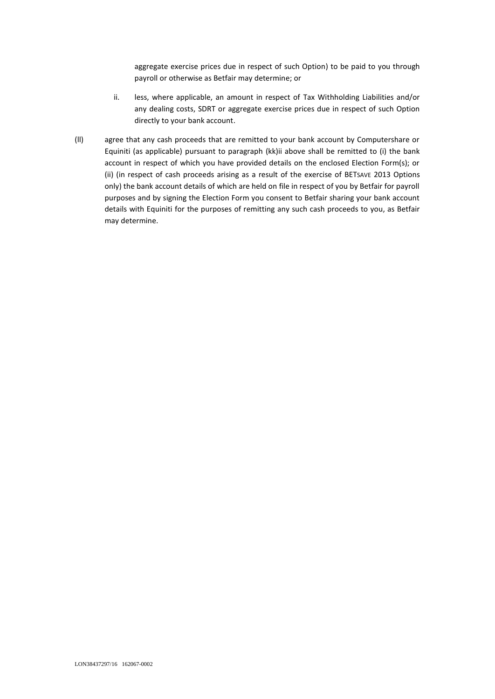aggregate exercise prices due in respect of such Option) to be paid to you through payroll or otherwise as Betfair may determine; or

- <span id="page-6-0"></span>ii. less, where applicable, an amount in respect of Tax Withholding Liabilities and/or any dealing costs, SDRT or aggregate exercise prices due in respect of such Option directly to your bank account.
- (ll) agree that any cash proceeds that are remitted to your bank account by Computershare or Equiniti (as applicable) pursuant to paragraph [\(kk\)ii](#page-6-0) above shall be remitted to (i) the bank account in respect of which you have provided details on the enclosed Election Form(s); or (ii) (in respect of cash proceeds arising as a result of the exercise of BETSAVE 2013 Options only) the bank account details of which are held on file in respect of you by Betfair for payroll purposes and by signing the Election Form you consent to Betfair sharing your bank account details with Equiniti for the purposes of remitting any such cash proceeds to you, as Betfair may determine.